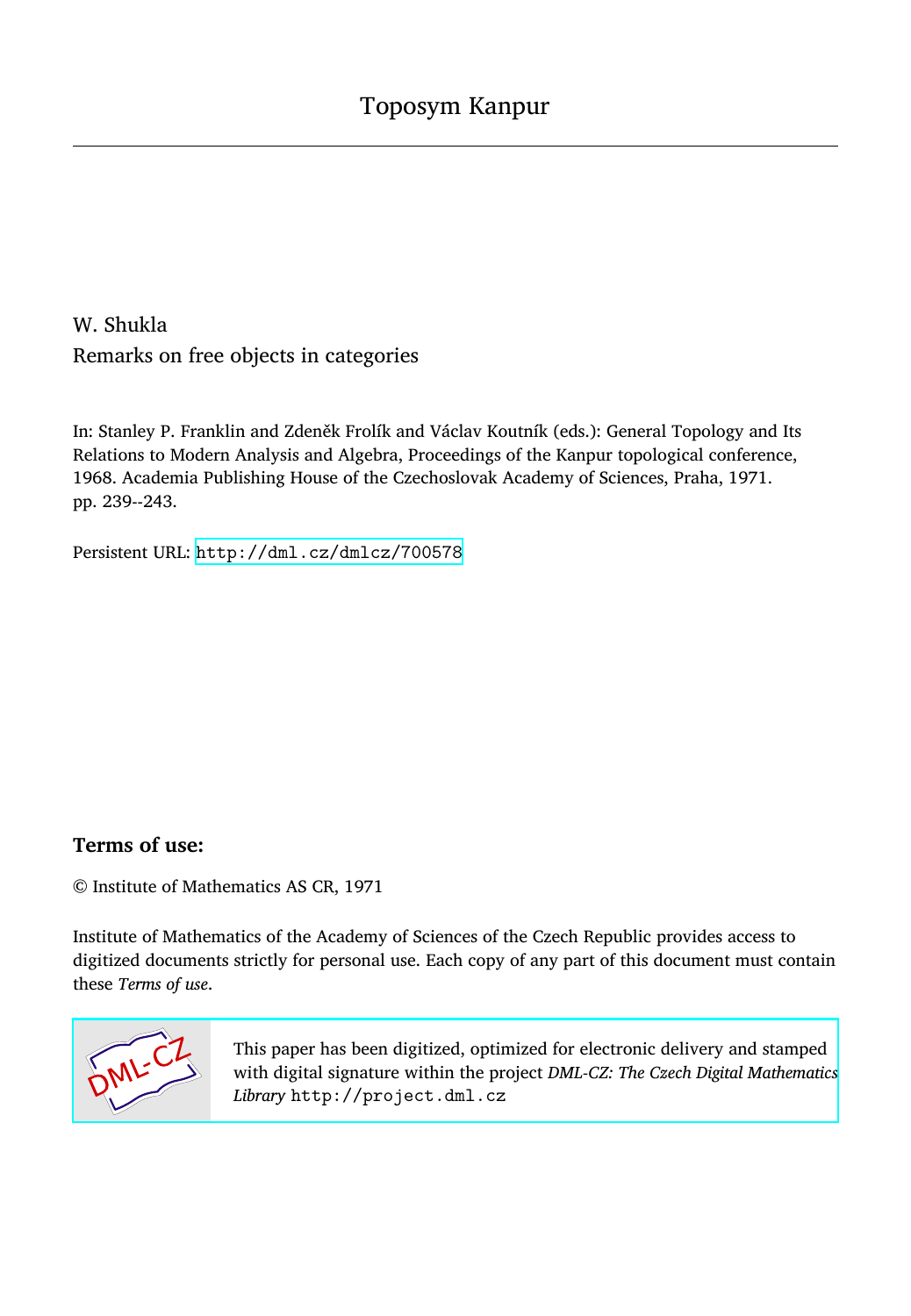W. Shukla Remarks on free objects in categories

In: Stanley P. Franklin and Zdeněk Frolík and Václav Koutník (eds.): General Topology and Its Relations to Modern Analysis and Algebra, Proceedings of the Kanpur topological conference, 1968. Academia Publishing House of the Czechoslovak Academy of Sciences, Praha, 1971. pp. 239--243.

Persistent URL: <http://dml.cz/dmlcz/700578>

## **Terms of use:**

© Institute of Mathematics AS CR, 1971

Institute of Mathematics of the Academy of Sciences of the Czech Republic provides access to digitized documents strictly for personal use. Each copy of any part of this document must contain these *Terms of use*.



[This paper has been digitized, optimized for electronic delivery and stamped](http://project.dml.cz) with digital signature within the project *DML-CZ: The Czech Digital Mathematics Library* http://project.dml.cz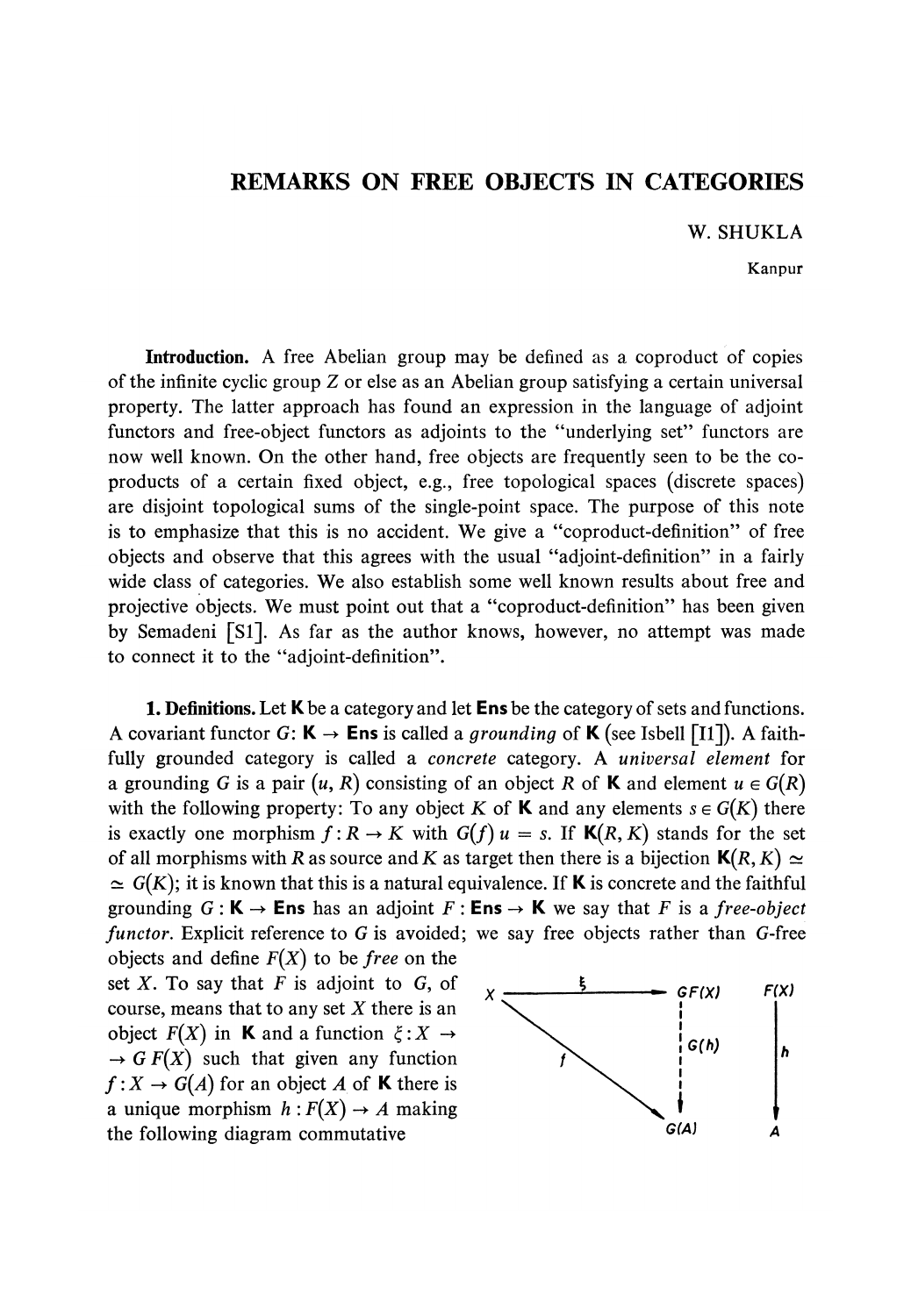## REMARKS ON FREE OBJECTS IN CATEGORIES

W. SHUKLA

Kanpur

Introduction. A free Abelian group may be defined as a coproduct of copies of the infinite cyclic group *Z* or else as an Abelian group satisfying a certain universal property. The latter approach has found an expression in the language of adjoint functors and free-object functors as adjoints to the "underlying set" functors are now well known. On the other hand, free objects are frequently seen to be the coproducts of a certain fixed object, e.g., free topological spaces (discrete spaces) are disjoint topological sums of the single-point space. The purpose of this note is to emphasize that this is no accident. We give a "coproduct-definition" of free objects and observe that this agrees with the usual "adjoint-definition" in a fairly wide class of categories. We also establish some well known results about free and projective objects. We must point out that a "coproduct-definition" has been given by Semadeni [SI]. As far as the author knows, however, no attempt was made to connect it to the "adjoint-definition".

1. Definitions. Let K be a category and let **Ens** be the category of sets and functions. A covariant functor G:  $K \rightarrow E$ ns is called a *grounding* of K (see Isbell [I1]). A faithfully grounded category is called a *concrete* category. A *universal element* for a grounding G is a pair  $(u, R)$  consisting of an object R of K and element  $u \in G(R)$ with the following property: To any object K of K and any elements  $s \in G(K)$  there is exactly one morphism  $f: R \to K$  with  $G(f) u = s$ . If  $K(R, K)$  stands for the set of all morphisms with *R* as source and *K* as target then there is a bijection  $K(R, K) \simeq$  $\sim G(K)$ ; it is known that this is a natural equivalence. If **K** is concrete and the faithful grounding  $G: K \to Ens$  has an adjoint  $F: Ens \to K$  we say that F is a free-object *functor.* Explicit reference to G is avoided; we say free objects rather than G-free

objects and define *F(X)* to be *free* on the set *X*. To say that *F* is adjoint to *G*, of  $\begin{array}{cc} x & \xrightarrow{\xi} & \xrightarrow{\xi} & \xrightarrow{\xi} & \xrightarrow{\xi} & \xrightarrow{\xi} \end{array}$ course, means that to any set *X* there is an object  $F(X)$  in **K** and a function  $\xi: X \rightarrow$  $\rightarrow$  G F(X) such that given any function  $f: X \to G(A)$  for an object A of K there is a unique morphism  $h: F(X) \to A$  making the following diagram commutative

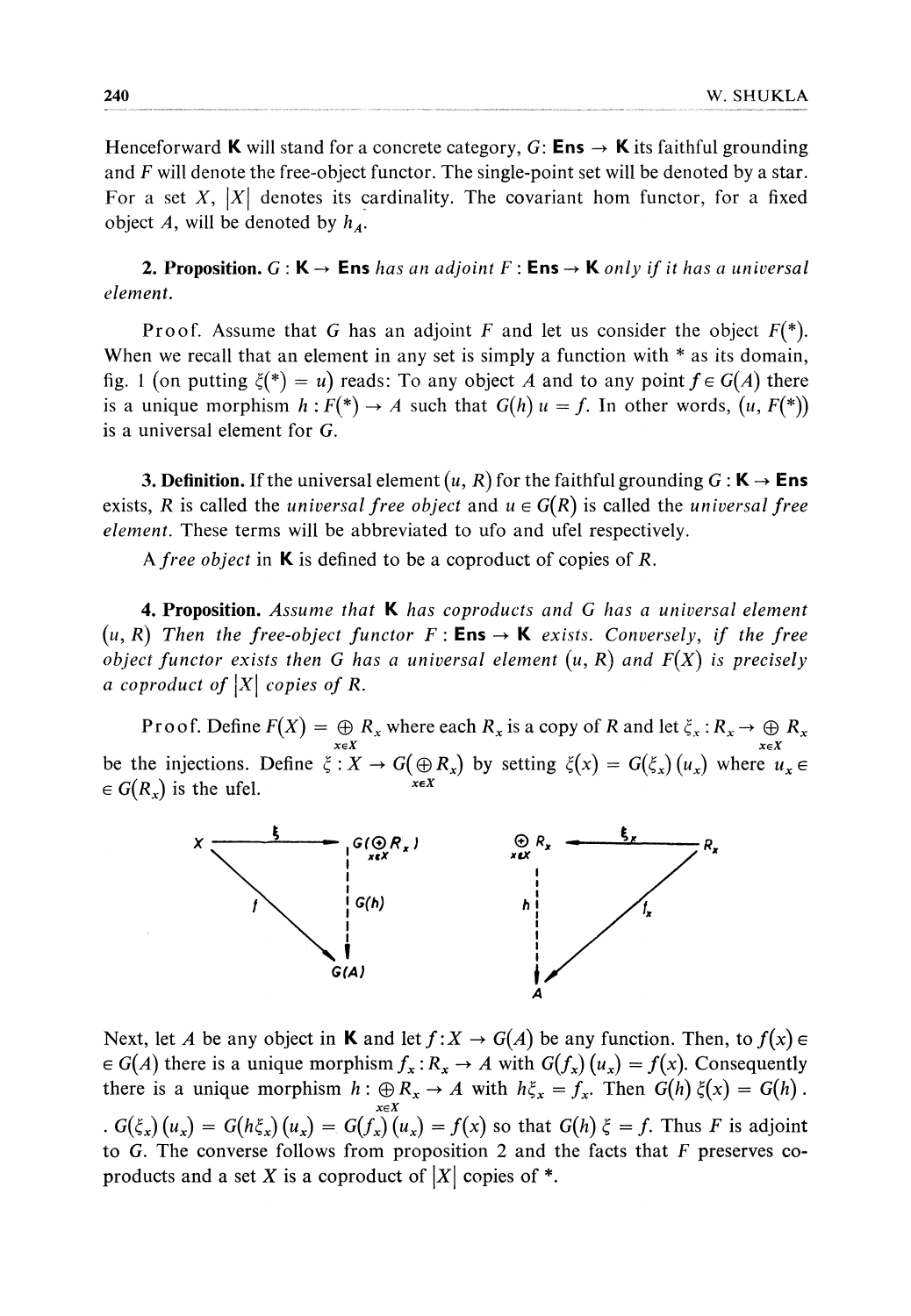Henceforward **K** will stand for a concrete category,  $G:$  **Ens**  $\rightarrow$  **K** its faithful grounding and *F* will denote the free-object functor. The single-point set will be denoted by a star. For a set  $X$ ,  $|X|$  denotes its cardinality. The covariant hom functor, for a fixed object *A,* will be denoted by *hA.* 

**2. Proposition.**  $G: K \rightarrow$  **Ens** has an adjoint  $F:$  **Ens**  $\rightarrow$  **K** only if it has a universal *element.* 

Proof. Assume that *G* has an adjoint *F* and let us consider the object *F*(\*). When we recall that an element in any set is simply a function with  $*$  as its domain, fig. 1 (on putting  $\xi(*) = u$ ) reads: To any object A and to any point  $f \in G(A)$  there is a unique morphism  $h: F(*) \to A$  such that  $G(h) u = f$ . In other words,  $(u, F(*)$ is a universal element for *G.* 

**3. Definition.** If the universal element  $(u, R)$  for the faithful grounding  $G : K \rightarrow Ens$ exists, *R* is called the *universal free object* and  $u \in G(R)$  is called the *universal free element.* These terms will be abbreviated to ufo and ufel respectively*.* 

*A free object* in K is defined to be a coproduct of copies of *R.* 

*4.* Proposition. *Assume that* K *has coproducts and G has a universal element*   $(u, R)$  Then the free-object functor  $F : Ens \to K$  exists. Conversely, if the free *object functor exists then G has a universal element (u, R) and F(X) is precisely a coproduct of*  $|X|$  *copies of R.* 

Proof. Define  $F(X) = \bigoplus_{x \in X} R_x$  where each  $R_x$  is a copy of R and let  $\xi_x : R_x \to \bigoplus_{x \in X} R_x$ be the injections. Define  $\xi : X \to G(\bigoplus R_x)$  by setting  $\xi(x) = G(\xi_x)(u_x)$  where  $u_x \in G(R)$  is the ufel  $\in G(R_x)$  is the ufel.



Next, let *A* be any object in **K** and let  $f: X \to G(A)$  be any function. Then, to  $f(x) \in$  $\in G(A)$  there is a unique morphism  $f_x: R_x \to A$  with  $G(f_x)(u_x) = f(x)$ . Consequently there is a unique morphism  $h: \bigoplus_{x \in X} R_x \to A$  with  $h\xi_x = f_x$ . Then  $G(h)\xi(x) = G(h)$ .  $G(\xi_x)(u_x) = G(h\xi_x)(u_x) = G(f_x)(u_x) = f(x)$  so that  $G(h)\xi = f$ . Thus F is adjoint to *G.* The converse follows from proposition 2 and the facts that *F* preserves coproducts and a set X is a coproduct of  $|X|$  copies of  $*$ .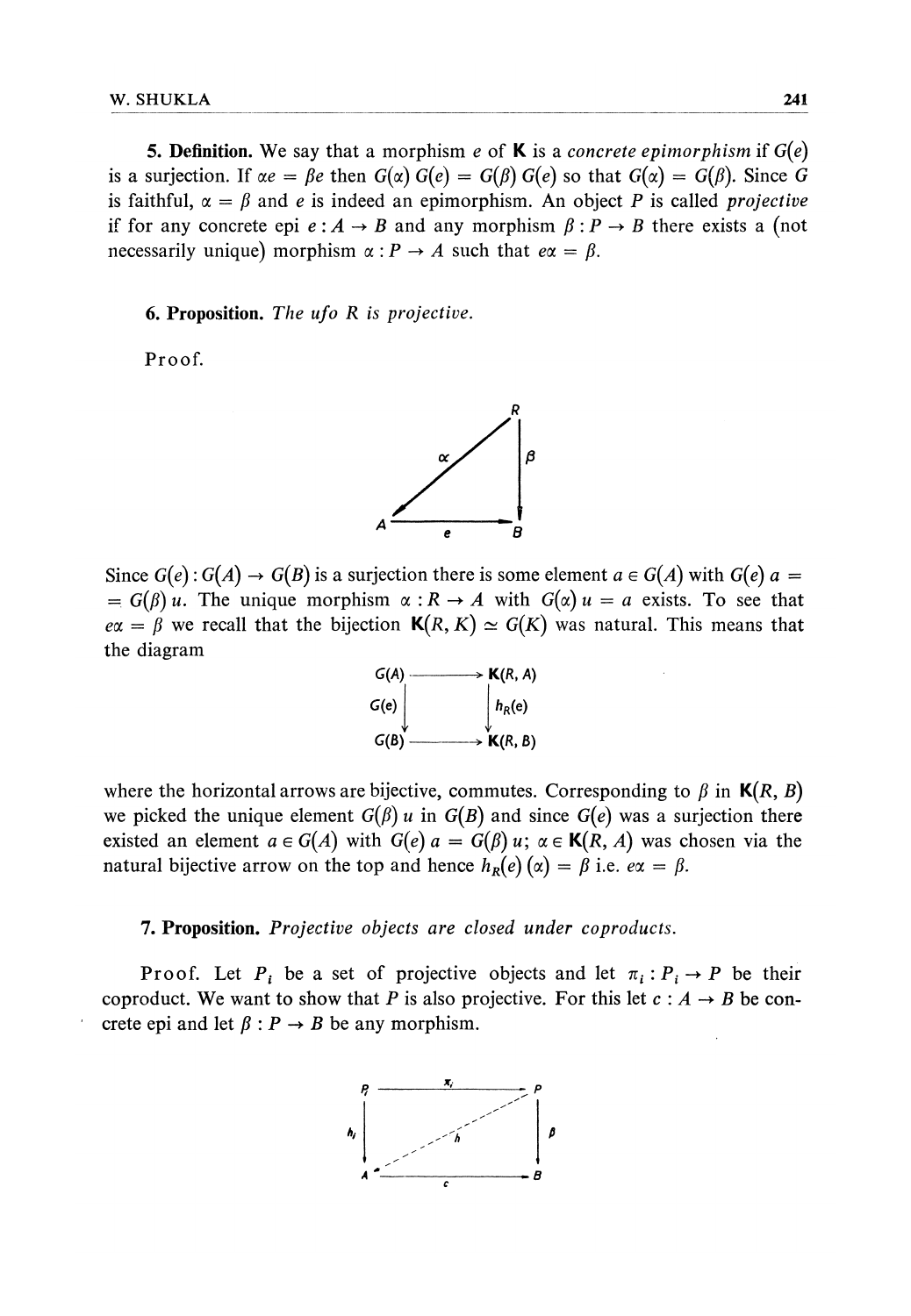5. **Definition.** We say that a morphism *e* of K is a *concrete epimorphism* if *G(e)*  is a surjection. If  $\alpha e = \beta e$  then  $G(\alpha) G(e) = G(\beta) G(e)$  so that  $G(\alpha) = G(\beta)$ . Since G is faithful,  $\alpha = \beta$  and *e* is indeed an epimorphism. An object *P* is called *projective* if for any concrete epi  $e : A \rightarrow B$  and any morphism  $\beta : P \rightarrow B$  there exists a (not necessarily unique) morphism  $\alpha$  :  $P \rightarrow A$  such that  $e\alpha = \beta$ .

**6. Proposition.** The ufo R is projective.

Proof.



Since  $G(e): G(A) \to G(B)$  is a surjection there is some element  $a \in G(A)$  with  $G(e)$   $a =$  $= G(\beta) u$ . The unique morphism  $\alpha : R \to A$  with  $G(\alpha) u = a$  exists. To see that  $e\alpha = \beta$  we recall that the bijection  $K(R, K) \simeq G(K)$  was natural. This means that the diagram



where the horizontal arrows are bijective, commutes. Corresponding to  $\beta$  in  $K(R, B)$ we picked the unique element  $G(\beta)$  *u* in  $G(B)$  and since  $G(e)$  was a surjection there existed an element  $a \in G(A)$  with  $G(e)$   $a = G(\beta)$  u;  $\alpha \in K(R, A)$  was chosen via the natural bijective arrow on the top and hence  $h_R(e)(\alpha) = \beta$  i.e.  $e\alpha = \beta$ .

**7. Proposition.** *Projective objects are closed under coproducts.* 

Proof. Let  $P_i$  be a set of projective objects and let  $\pi_i : P_i \to P$  be their coproduct. We want to show that P is also projective. For this let  $c : A \rightarrow B$  be concrete epi and let  $\beta$  :  $P \rightarrow B$  be any morphism.

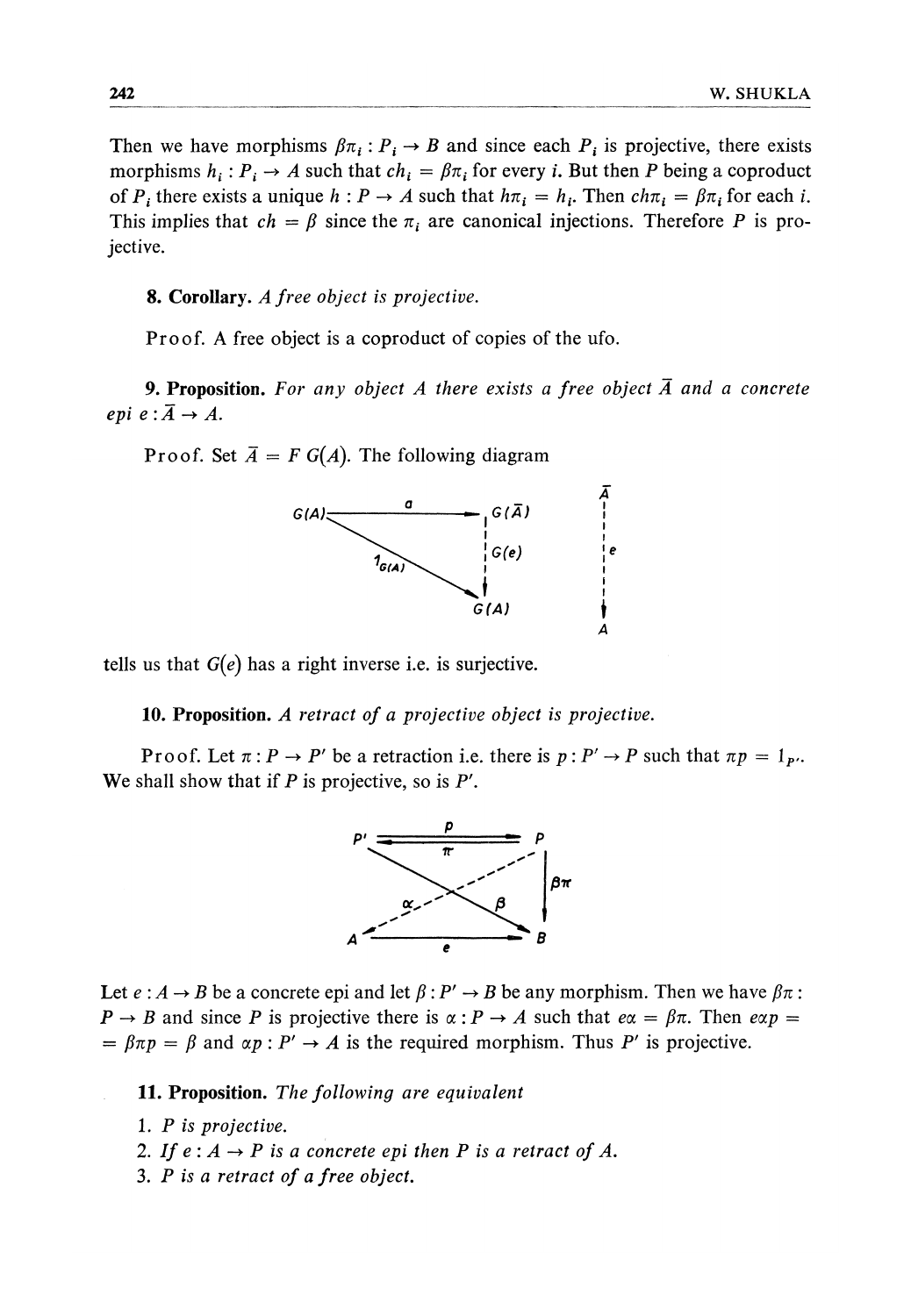Then we have morphisms  $\beta \pi_i : P_i \to B$  and since each  $P_i$  is projective, there exists morphisms  $h_i: P_i \to A$  such that  $ch_i = \beta \pi_i$  for every *i*. But then *P* being a coproduct of  $P_i$  there exists a unique  $h : P \to A$  such that  $h\pi_i = h_i$ . Then  $ch\pi_i = \beta \pi_i$  for each *i*. This implies that  $ch = \beta$  since the  $\pi_i$  are canonical injections. Therefore *P* is projective.

**8. Corollary.** *A free object is projective.* 

Proof. A free object is a coproduct of copies of the ufo.

**9. Proposition.** *For any object A there exists a free object A and a concrete epi*  $e: \overline{A} \rightarrow A$ .

Proof. Set  $\overline{A} = F G(A)$ . The following diagram



tells us that *G(e)* has a right inverse i.e. is surjective.

**10. Proposition.** *A retract of a projective object is projective.* 

Proof. Let  $\pi : P \to P'$  be a retraction i.e. there is  $p : P' \to P$  such that  $\pi p = 1_P$ . We shall show that if *P* is projective, so is *P'.* 



Let  $e : A \rightarrow B$  be a concrete epi and let  $\beta : P' \rightarrow B$  be any morphism. Then we have  $\beta \pi$ :  $P \rightarrow B$  and since *P* is projective there is  $\alpha : P \rightarrow A$  such that  $e\alpha = \beta \pi$ . Then  $e\alpha p =$  $= \beta \pi p = \beta$  and  $\alpha p : P' \to A$  is the required morphism. Thus P' is projective.

**11. Proposition.** *The following are equivalent* 

- 1. *P is projective.*
- 2. If  $e: A \rightarrow P$  is a concrete epi then P is a retract of A.
- 3. *P is a retract of a free object.*